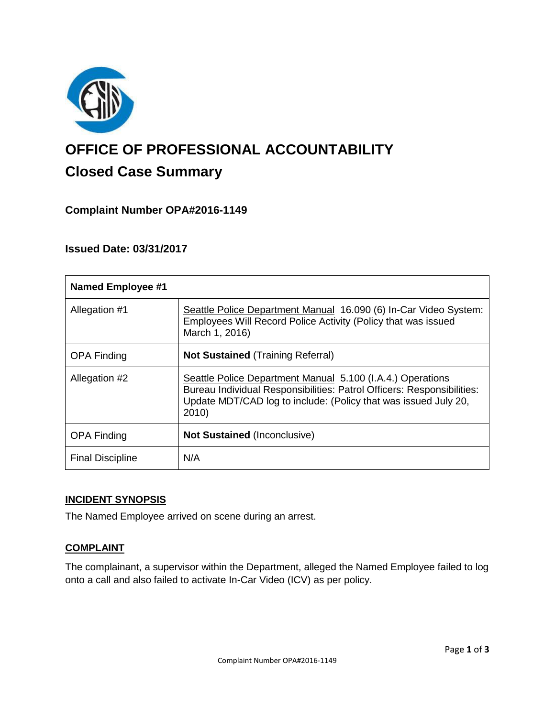

# **OFFICE OF PROFESSIONAL ACCOUNTABILITY Closed Case Summary**

## **Complaint Number OPA#2016-1149**

### **Issued Date: 03/31/2017**

| <b>Named Employee #1</b> |                                                                                                                                                                                                                  |
|--------------------------|------------------------------------------------------------------------------------------------------------------------------------------------------------------------------------------------------------------|
| Allegation #1            | Seattle Police Department Manual 16.090 (6) In-Car Video System:<br>Employees Will Record Police Activity (Policy that was issued<br>March 1, 2016)                                                              |
| <b>OPA Finding</b>       | <b>Not Sustained (Training Referral)</b>                                                                                                                                                                         |
| Allegation #2            | Seattle Police Department Manual 5.100 (I.A.4.) Operations<br>Bureau Individual Responsibilities: Patrol Officers: Responsibilities:<br>Update MDT/CAD log to include: (Policy that was issued July 20,<br>2010) |
| <b>OPA Finding</b>       | <b>Not Sustained (Inconclusive)</b>                                                                                                                                                                              |
| <b>Final Discipline</b>  | N/A                                                                                                                                                                                                              |

#### **INCIDENT SYNOPSIS**

The Named Employee arrived on scene during an arrest.

#### **COMPLAINT**

The complainant, a supervisor within the Department, alleged the Named Employee failed to log onto a call and also failed to activate In-Car Video (ICV) as per policy.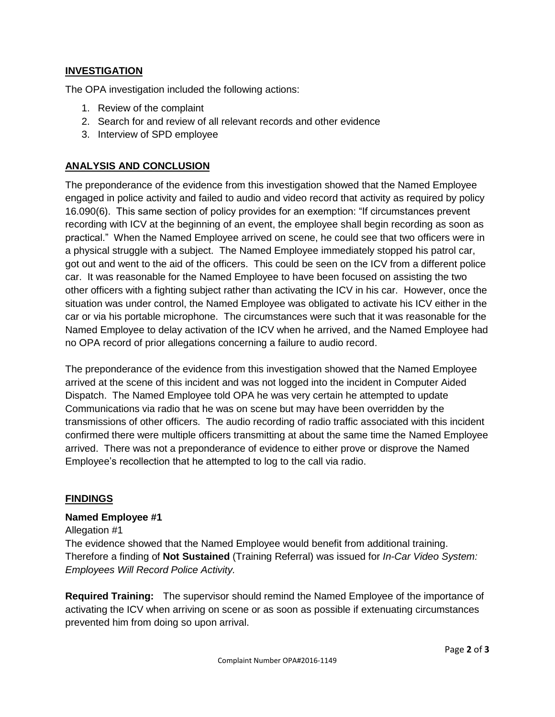#### **INVESTIGATION**

The OPA investigation included the following actions:

- 1. Review of the complaint
- 2. Search for and review of all relevant records and other evidence
- 3. Interview of SPD employee

#### **ANALYSIS AND CONCLUSION**

The preponderance of the evidence from this investigation showed that the Named Employee engaged in police activity and failed to audio and video record that activity as required by policy 16.090(6). This same section of policy provides for an exemption: "If circumstances prevent recording with ICV at the beginning of an event, the employee shall begin recording as soon as practical." When the Named Employee arrived on scene, he could see that two officers were in a physical struggle with a subject. The Named Employee immediately stopped his patrol car, got out and went to the aid of the officers. This could be seen on the ICV from a different police car. It was reasonable for the Named Employee to have been focused on assisting the two other officers with a fighting subject rather than activating the ICV in his car. However, once the situation was under control, the Named Employee was obligated to activate his ICV either in the car or via his portable microphone. The circumstances were such that it was reasonable for the Named Employee to delay activation of the ICV when he arrived, and the Named Employee had no OPA record of prior allegations concerning a failure to audio record.

The preponderance of the evidence from this investigation showed that the Named Employee arrived at the scene of this incident and was not logged into the incident in Computer Aided Dispatch. The Named Employee told OPA he was very certain he attempted to update Communications via radio that he was on scene but may have been overridden by the transmissions of other officers. The audio recording of radio traffic associated with this incident confirmed there were multiple officers transmitting at about the same time the Named Employee arrived. There was not a preponderance of evidence to either prove or disprove the Named Employee's recollection that he attempted to log to the call via radio.

#### **FINDINGS**

#### **Named Employee #1**

Allegation #1

The evidence showed that the Named Employee would benefit from additional training. Therefore a finding of **Not Sustained** (Training Referral) was issued for *In-Car Video System: Employees Will Record Police Activity.*

**Required Training:** The supervisor should remind the Named Employee of the importance of activating the ICV when arriving on scene or as soon as possible if extenuating circumstances prevented him from doing so upon arrival.